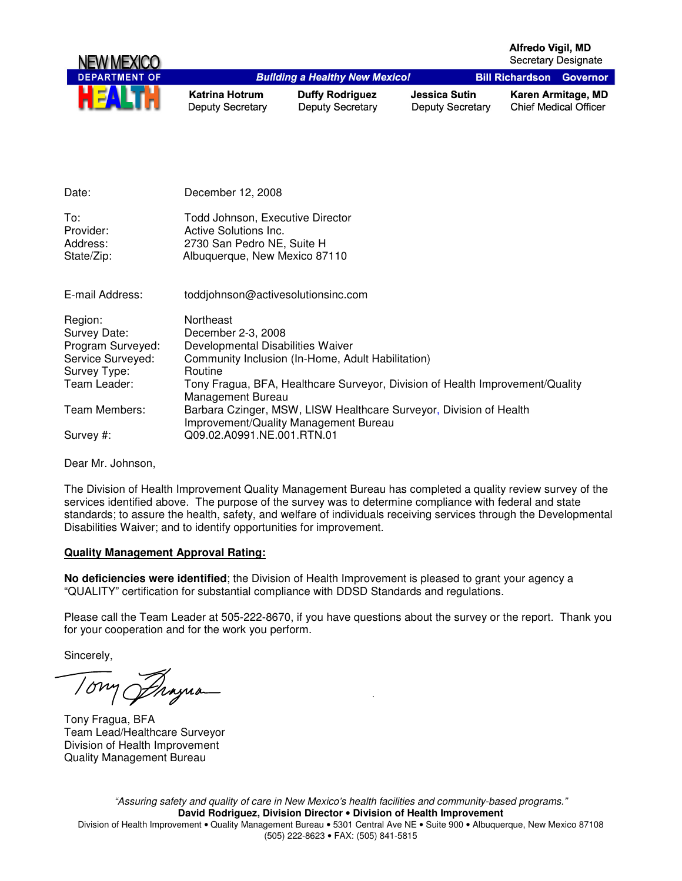

| Date:                                      | December 12, 2008                                                                                                        |
|--------------------------------------------|--------------------------------------------------------------------------------------------------------------------------|
| To:<br>Provider:<br>Address:<br>State/Zip: | Todd Johnson, Executive Director<br>Active Solutions Inc.<br>2730 San Pedro NE, Suite H<br>Albuquerque, New Mexico 87110 |
| E-mail Address:                            | toddjohnson@activesolutionsinc.com                                                                                       |
| Region:                                    | Northeast                                                                                                                |
| Survey Date:                               | December 2-3, 2008                                                                                                       |
| Program Surveyed:                          | Developmental Disabilities Waiver                                                                                        |
| Service Surveyed:                          | Community Inclusion (In-Home, Adult Habilitation)                                                                        |
| Survey Type:                               | Routine                                                                                                                  |
| Team Leader:                               | Tony Fragua, BFA, Healthcare Surveyor, Division of Health Improvement/Quality<br>Management Bureau                       |
| Team Members:                              | Barbara Czinger, MSW, LISW Healthcare Surveyor, Division of Health<br>Improvement/Quality Management Bureau              |
| Survey #:                                  | Q09.02.A0991.NE.001.RTN.01                                                                                               |

Dear Mr. Johnson,

The Division of Health Improvement Quality Management Bureau has completed a quality review survey of the services identified above. The purpose of the survey was to determine compliance with federal and state standards; to assure the health, safety, and welfare of individuals receiving services through the Developmental Disabilities Waiver; and to identify opportunities for improvement.

## **Quality Management Approval Rating:**

**No deficiencies were identified**; the Division of Health Improvement is pleased to grant your agency a "QUALITY" certification for substantial compliance with DDSD Standards and regulations.

Please call the Team Leader at 505-222-8670, if you have questions about the survey or the report. Thank you for your cooperation and for the work you perform.

Sincerely,

10mg Prayua

Tony Fragua, BFA Team Lead/Healthcare Surveyor Division of Health Improvement Quality Management Bureau

"Assuring safety and quality of care in New Mexico's health facilities and community-based programs." **David Rodriguez, Division Director** • **Division of Health Improvement**  Division of Health Improvement • Quality Management Bureau • 5301 Central Ave NE • Suite 900 • Albuquerque, New Mexico 87108 (505) 222-8623 • FAX: (505) 841-5815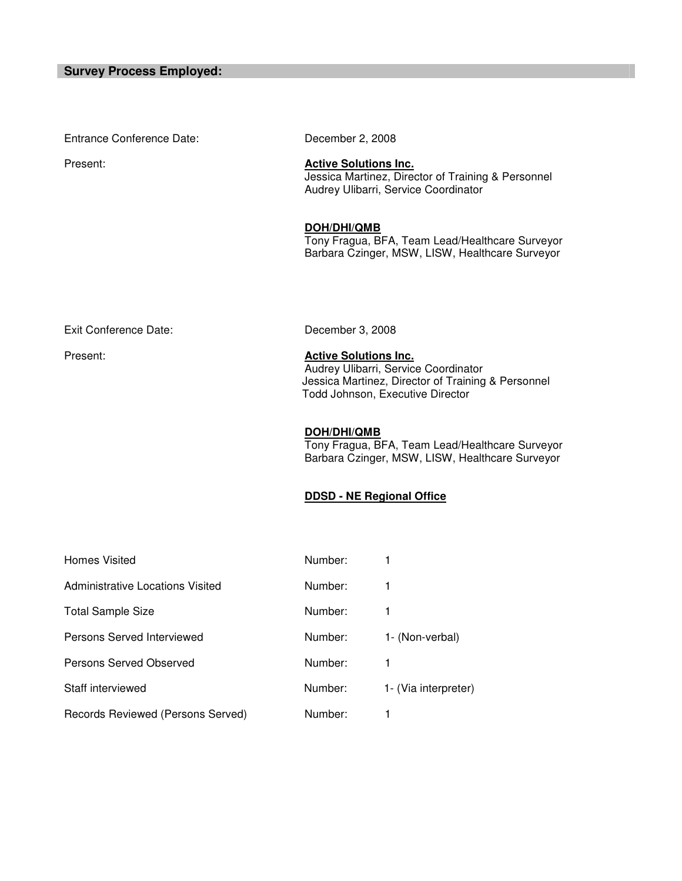Entrance Conference Date: December 2, 2008 Present: **Active Solutions Inc.** Jessica Martinez, Director of Training & Personnel Audrey Ulibarri, Service Coordinator **DOH/DHI/QMB** Tony Fragua, BFA, Team Lead/Healthcare Surveyor Barbara Czinger, MSW, LISW, Healthcare Surveyor Exit Conference Date: December 3, 2008 Present: **Active Solutions Inc.** Audrey Ulibarri, Service Coordinator Jessica Martinez, Director of Training & Personnel Todd Johnson, Executive Director **DOH/DHI/QMB**

Tony Fragua, BFA, Team Lead/Healthcare Surveyor Barbara Czinger, MSW, LISW, Healthcare Surveyor

## **DDSD - NE Regional Office**

| <b>Homes Visited</b>              | Number: |                      |
|-----------------------------------|---------|----------------------|
| Administrative Locations Visited  | Number: |                      |
| <b>Total Sample Size</b>          | Number: |                      |
| Persons Served Interviewed        | Number: | 1- (Non-verbal)      |
| Persons Served Observed           | Number: |                      |
| Staff interviewed                 | Number: | 1- (Via interpreter) |
| Records Reviewed (Persons Served) | Number: |                      |